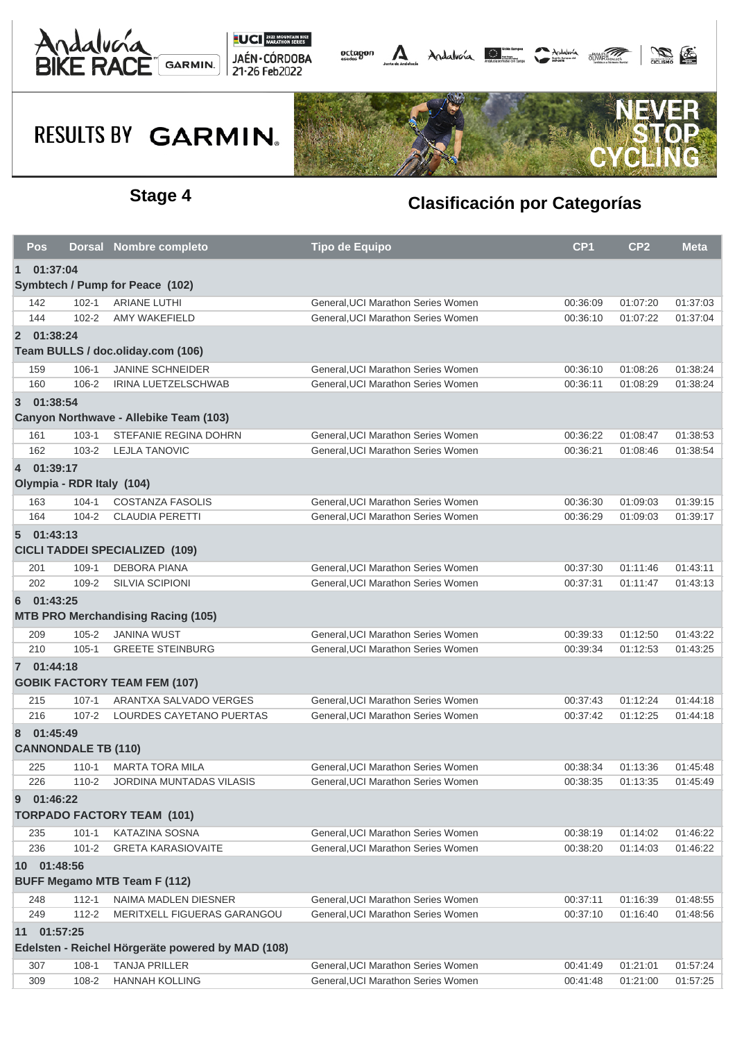



## **RESULTS BY GARMIN.**



### **Stage 4 Clasificación por Categorías**

|                                                   | Pos         |                            | Dorsal Nombre completo                    | <b>Tipo de Equipo</b>              | CP <sub>1</sub> | CP <sub>2</sub> | <b>Meta</b> |  |  |  |  |  |
|---------------------------------------------------|-------------|----------------------------|-------------------------------------------|------------------------------------|-----------------|-----------------|-------------|--|--|--|--|--|
| $\mathbf{1}$<br>01:37:04                          |             |                            |                                           |                                    |                 |                 |             |  |  |  |  |  |
| Symbtech / Pump for Peace (102)                   |             |                            |                                           |                                    |                 |                 |             |  |  |  |  |  |
|                                                   | 142         | $102 - 1$                  | <b>ARIANE LUTHI</b>                       | General, UCI Marathon Series Women | 00:36:09        | 01:07:20        | 01:37:03    |  |  |  |  |  |
|                                                   | 144         | $102 - 2$                  | AMY WAKEFIELD                             | General, UCI Marathon Series Women | 00:36:10        | 01:07:22        | 01:37:04    |  |  |  |  |  |
|                                                   | 2 01:38:24  |                            |                                           |                                    |                 |                 |             |  |  |  |  |  |
|                                                   |             |                            | Team BULLS / doc.oliday.com (106)         |                                    |                 |                 |             |  |  |  |  |  |
|                                                   | 159         | $106 - 1$                  | <b>JANINE SCHNEIDER</b>                   | General, UCI Marathon Series Women | 00:36:10        | 01:08:26        | 01:38:24    |  |  |  |  |  |
|                                                   | 160         | 106-2                      | IRINA LUETZELSCHWAB                       | General, UCI Marathon Series Women | 00:36:11        | 01:08:29        | 01:38:24    |  |  |  |  |  |
|                                                   | 3 01:38:54  |                            |                                           |                                    |                 |                 |             |  |  |  |  |  |
|                                                   |             |                            | Canyon Northwave - Allebike Team (103)    |                                    |                 |                 |             |  |  |  |  |  |
|                                                   | 161         | $103 - 1$                  | STEFANIE REGINA DOHRN                     | General, UCI Marathon Series Women | 00:36:22        | 01:08:47        | 01:38:53    |  |  |  |  |  |
|                                                   | 162         | $103 - 2$                  | <b>LEJLA TANOVIC</b>                      | General, UCI Marathon Series Women | 00:36:21        | 01:08:46        | 01:38:54    |  |  |  |  |  |
|                                                   | 4 01:39:17  |                            |                                           |                                    |                 |                 |             |  |  |  |  |  |
| Olympia - RDR Italy (104)                         |             |                            |                                           |                                    |                 |                 |             |  |  |  |  |  |
|                                                   | 163         | $104 - 1$                  | COSTANZA FASOLIS                          | General, UCI Marathon Series Women | 00:36:30        | 01:09:03        | 01:39:15    |  |  |  |  |  |
|                                                   | 164         | $104 - 2$                  | <b>CLAUDIA PERETTI</b>                    | General, UCI Marathon Series Women | 00:36:29        | 01:09:03        | 01:39:17    |  |  |  |  |  |
|                                                   | 501:43:13   |                            |                                           |                                    |                 |                 |             |  |  |  |  |  |
| <b>CICLI TADDEI SPECIALIZED (109)</b>             |             |                            |                                           |                                    |                 |                 |             |  |  |  |  |  |
|                                                   | 201         | $109 - 1$                  | <b>DEBORA PIANA</b>                       | General, UCI Marathon Series Women | 00:37:30        | 01:11:46        | 01:43:11    |  |  |  |  |  |
|                                                   | 202         | 109-2                      | <b>SILVIA SCIPIONI</b>                    | General, UCI Marathon Series Women | 00:37:31        | 01:11:47        | 01:43:13    |  |  |  |  |  |
| 6                                                 | 01:43:25    |                            |                                           |                                    |                 |                 |             |  |  |  |  |  |
|                                                   |             |                            | <b>MTB PRO Merchandising Racing (105)</b> |                                    |                 |                 |             |  |  |  |  |  |
|                                                   | 209         | $105 - 2$                  | <b>JANINA WUST</b>                        | General, UCI Marathon Series Women | 00:39:33        | 01:12:50        | 01:43:22    |  |  |  |  |  |
|                                                   | 210         | $105 - 1$                  | <b>GREETE STEINBURG</b>                   | General, UCI Marathon Series Women | 00:39:34        | 01:12:53        | 01:43:25    |  |  |  |  |  |
|                                                   | 7 01:44:18  |                            |                                           |                                    |                 |                 |             |  |  |  |  |  |
|                                                   |             |                            | <b>GOBIK FACTORY TEAM FEM (107)</b>       |                                    |                 |                 |             |  |  |  |  |  |
|                                                   | 215         | $107 - 1$                  | ARANTXA SALVADO VERGES                    | General, UCI Marathon Series Women | 00:37:43        | 01:12:24        | 01:44:18    |  |  |  |  |  |
|                                                   | 216         | $107 - 2$                  | LOURDES CAYETANO PUERTAS                  | General, UCI Marathon Series Women | 00:37:42        | 01:12:25        | 01:44:18    |  |  |  |  |  |
| 8                                                 | 01:45:49    |                            |                                           |                                    |                 |                 |             |  |  |  |  |  |
|                                                   |             | <b>CANNONDALE TB (110)</b> |                                           |                                    |                 |                 |             |  |  |  |  |  |
|                                                   | 225         | $110 - 1$                  | <b>MARTA TORA MILA</b>                    | General.UCI Marathon Series Women  | 00:38:34        | 01:13:36        | 01:45:48    |  |  |  |  |  |
|                                                   | 226         | $110 - 2$                  | <b>JORDINA MUNTADAS VILASIS</b>           | General, UCI Marathon Series Women | 00:38:35        | 01:13:35        | 01:45:49    |  |  |  |  |  |
| 9                                                 | 01:46:22    |                            |                                           |                                    |                 |                 |             |  |  |  |  |  |
|                                                   |             |                            | <b>TORPADO FACTORY TEAM (101)</b>         |                                    |                 |                 |             |  |  |  |  |  |
|                                                   | 235         | $101 - 1$                  | <b>KATAZINA SOSNA</b>                     | General, UCI Marathon Series Women | 00:38:19        | 01:14:02        | 01:46:22    |  |  |  |  |  |
|                                                   | 236         | $101 - 2$                  | <b>GRETA KARASIOVAITE</b>                 | General, UCI Marathon Series Women | 00:38:20        | 01:14:03        | 01:46:22    |  |  |  |  |  |
|                                                   | 10 01:48:56 |                            |                                           |                                    |                 |                 |             |  |  |  |  |  |
|                                                   |             |                            | <b>BUFF Megamo MTB Team F (112)</b>       |                                    |                 |                 |             |  |  |  |  |  |
|                                                   | 248         | $112 - 1$                  | NAIMA MADLEN DIESNER                      | General, UCI Marathon Series Women | 00:37:11        | 01:16:39        | 01:48:55    |  |  |  |  |  |
|                                                   | 249         | $112 - 2$                  | MERITXELL FIGUERAS GARANGOU               | General, UCI Marathon Series Women | 00:37:10        | 01:16:40        | 01:48:56    |  |  |  |  |  |
| 11                                                | 01:57:25    |                            |                                           |                                    |                 |                 |             |  |  |  |  |  |
| Edelsten - Reichel Hörgeräte powered by MAD (108) |             |                            |                                           |                                    |                 |                 |             |  |  |  |  |  |
|                                                   | 307         | $108 - 1$                  | <b>TANJA PRILLER</b>                      | General, UCI Marathon Series Women | 00:41:49        | 01:21:01        | 01:57:24    |  |  |  |  |  |
|                                                   | 309         | 108-2                      | <b>HANNAH KOLLING</b>                     | General, UCI Marathon Series Women | 00:41:48        | 01:21:00        | 01:57:25    |  |  |  |  |  |